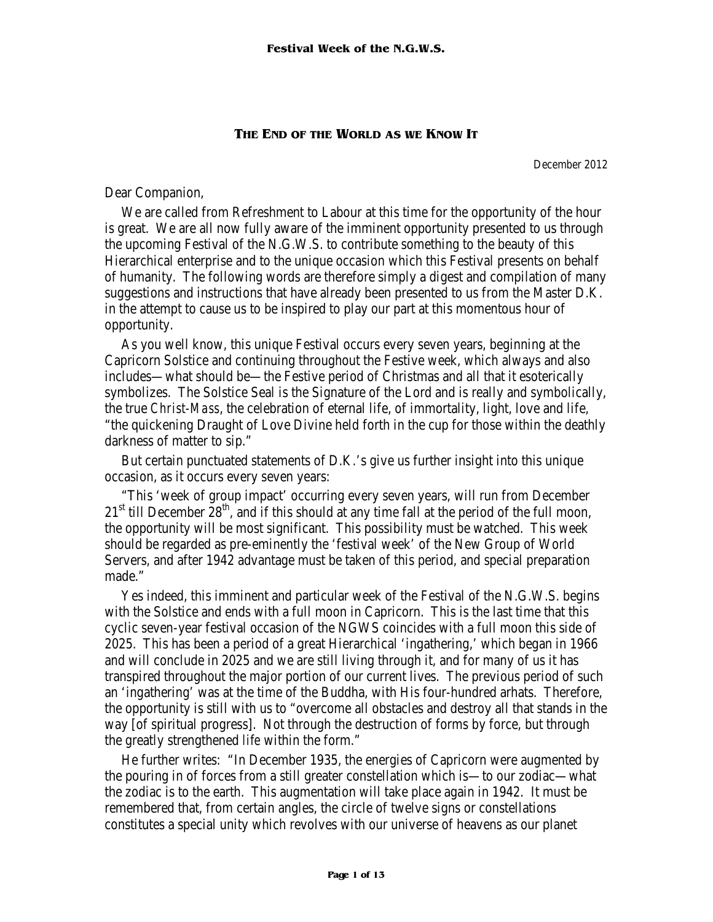# THE END OF THE WORLD AS WE KNOW IT

December 2012

Dear Companion,

We are called from Refreshment to Labour at this time for the opportunity of the hour is great. We are all now fully aware of the imminent opportunity presented to us through the upcoming Festival of the N.G.W.S. to contribute something to the beauty of this Hierarchical enterprise and to the unique occasion which this Festival presents on behalf of humanity. The following words are therefore simply a digest and compilation of many suggestions and instructions that have already been presented to us from the Master D.K. in the attempt to cause us to be inspired to play our part at this momentous hour of opportunity.

As you well know, this unique Festival occurs every seven years, beginning at the Capricorn Solstice and continuing throughout the Festive week, which always and also includes—what should be—the Festive period of Christmas and all that it esoterically symbolizes. The Solstice Seal is the Signature of the Lord and is really and symbolically, the true *Christ-Mass*, the celebration of eternal life, of immortality, light, love and life, "the quickening Draught of Love Divine held forth in the cup for those within the deathly darkness of matter to sip."

But certain punctuated statements of D.K.'s give us further insight into this unique occasion, as it occurs every seven years:

"This 'week of group impact' occurring every seven years, will run from December  $21<sup>st</sup>$  till December  $28<sup>th</sup>$ , and if this should at any time fall at the period of the full moon, the opportunity will be most significant. This possibility must be watched. This week should be regarded as pre-eminently the 'festival week' of the New Group of World Servers, and after 1942 advantage must be taken of this period, and special preparation made."

Yes indeed, this imminent and particular week of the Festival of the N.G.W.S. begins with the Solstice and ends with a full moon in Capricorn. This is the last time that this cyclic seven-year festival occasion of the NGWS coincides with a full moon this side of 2025. This has been a period of a great Hierarchical 'ingathering,' which began in 1966 and will conclude in 2025 and we are still living through it, and for many of us it has transpired throughout the major portion of our current lives. The previous period of such an 'ingathering' was at the time of the Buddha, with His four-hundred arhats. Therefore, the opportunity is still with us to "overcome all obstacles and destroy all that stands in the way [of spiritual progress]. Not through the destruction of forms by force, but through the greatly strengthened *life* within the form."

He further writes: "In December 1935, the energies of Capricorn were augmented by the pouring in of forces from a still greater constellation which is—to our zodiac—what the zodiac is to the earth. This augmentation will take place again in 1942. It must be remembered that, from certain angles, the circle of twelve signs or constellations constitutes a special unity which revolves with our universe of heavens as our planet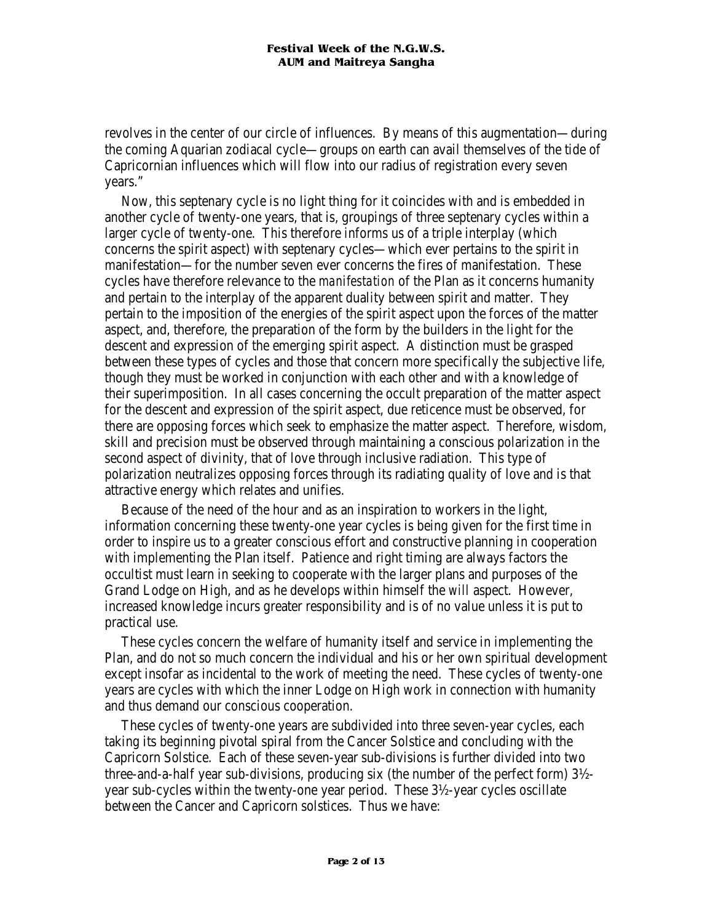revolves in the center of our circle of influences. By means of this augmentation—during the coming Aquarian zodiacal cycle—groups on earth can avail themselves of the tide of Capricornian influences which will flow into our radius of registration every seven years."

Now, this septenary cycle is no light thing for it coincides with and is embedded in another cycle of twenty-one years, that is, groupings of three septenary cycles within a larger cycle of twenty-one. This therefore informs us of a triple interplay (which concerns the spirit aspect) with septenary cycles—which ever pertains to the spirit in manifestation—for the number seven ever concerns the fires of manifestation. These cycles have therefore relevance to the *manifestation* of the Plan as it concerns humanity and pertain to the interplay of the apparent duality between spirit and matter. They pertain to the imposition of the energies of the spirit aspect upon the forces of the matter aspect, and, therefore, the preparation of the form by the builders in the light for the descent and expression of the emerging spirit aspect. A distinction must be grasped between these types of cycles and those that concern more specifically the subjective life, though they must be worked in conjunction with each other and with a knowledge of their superimposition. In all cases concerning the occult preparation of the matter aspect for the descent and expression of the spirit aspect, due reticence must be observed, for there are opposing forces which seek to emphasize the matter aspect. Therefore, wisdom, skill and precision must be observed through maintaining a conscious polarization in the second aspect of divinity, that of love through inclusive radiation. This type of polarization neutralizes opposing forces through its radiating quality of love and is that attractive energy which relates and unifies.

Because of the need of the hour and as an inspiration to workers in the light, information concerning these twenty-one year cycles is being given for the first time in order to inspire us to a greater conscious effort and constructive planning in cooperation with implementing the Plan itself. Patience and right timing are always factors the occultist must learn in seeking to cooperate with the larger plans and purposes of the Grand Lodge on High, and as he develops within himself the *will* aspect. However, increased knowledge incurs greater responsibility and is of no value unless it is put to practical use.

These cycles concern the welfare of humanity itself and service in implementing the Plan, and do not so much concern the individual and his or her own spiritual development except insofar as incidental to the work of meeting the need. These cycles of twenty-one years are cycles with which the inner Lodge on High work in connection with humanity and thus demand our conscious cooperation.

These cycles of twenty-one years are subdivided into three seven-year cycles, each taking its beginning pivotal spiral from the Cancer Solstice and concluding with the Capricorn Solstice. Each of these seven-year sub-divisions is further divided into two three-and-a-half year sub-divisions, producing six (the number of the perfect form) 3½ year sub-cycles within the twenty-one year period. These 3½-year cycles oscillate between the Cancer and Capricorn solstices. Thus we have: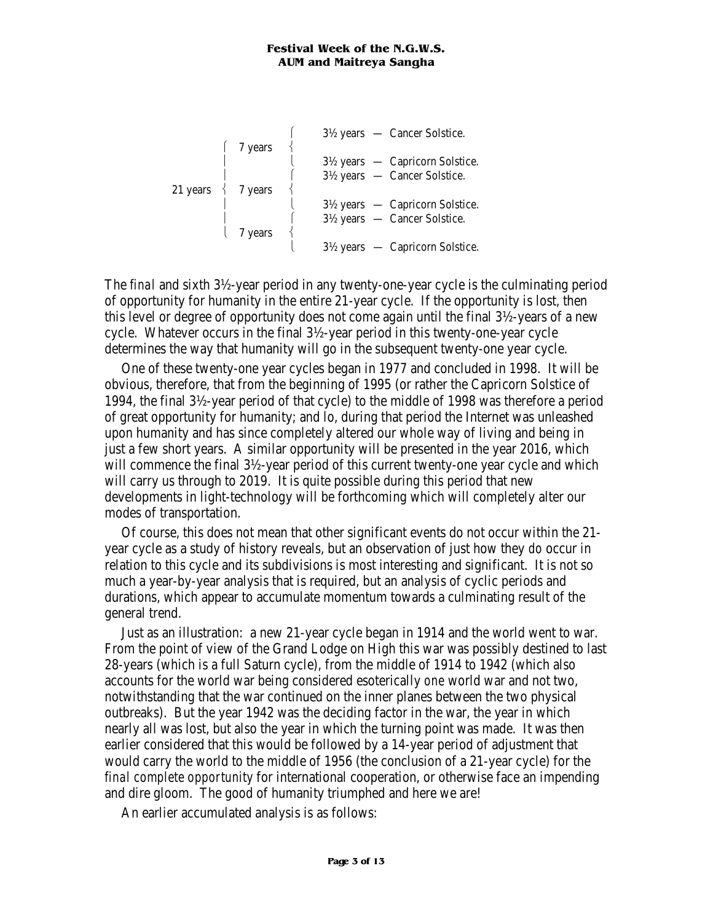

The *final* and sixth 3½-year period in any twenty-one-year cycle is the culminating period of opportunity for humanity in the entire 21-year cycle. If the opportunity is lost, then this level or degree of opportunity does not come again until the final 3½-years of a new cycle. Whatever occurs in the final 3½-year period in this twenty-one-year cycle determines the way that humanity will go in the subsequent twenty-one year cycle.

One of these twenty-one year cycles began in 1977 and concluded in 1998. It will be obvious, therefore, that from the beginning of 1995 (or rather the Capricorn Solstice of 1994, the final 3½-year period of that cycle) to the middle of 1998 was therefore a period of great opportunity for humanity; and lo, during that period the Internet was unleashed upon humanity and has since completely altered our whole way of living and being in just a few short years. A similar opportunity will be presented in the year 2016, which will commence the final  $3\frac{1}{2}$ -year period of this current twenty-one year cycle and which will carry us through to 2019. It is quite possible during this period that new developments in light-technology will be forthcoming which will completely alter our modes of transportation.

Of course, this does not mean that other significant events do not occur within the 21 year cycle as a study of history reveals, but an observation of just how they *do* occur in relation to this cycle and its subdivisions is most interesting and significant. It is not so much a year-by-year analysis that is required, but an analysis of cyclic periods and durations, which appear to accumulate momentum towards a culminating result of the general trend.

Just as an illustration: a new 21-year cycle began in 1914 and the world went to war. From the point of view of the Grand Lodge on High this war was possibly destined to last 28-years (which is a full Saturn cycle), from the middle of 1914 to 1942 (which also accounts for the world war being considered esoterically *one* world war and not two, notwithstanding that the war continued on the inner planes between the two physical outbreaks). But the year 1942 was the deciding factor in the war, the year in which nearly all was lost, but also the year in which the turning point was made. It was then earlier considered that this would be followed by a 14-year period of adjustment that would carry the world to the middle of 1956 (the conclusion of a 21-year cycle) for the *final complete opportunity* for international cooperation, or otherwise face an impending and dire gloom. The good of humanity triumphed and here we are!

An earlier accumulated analysis is as follows: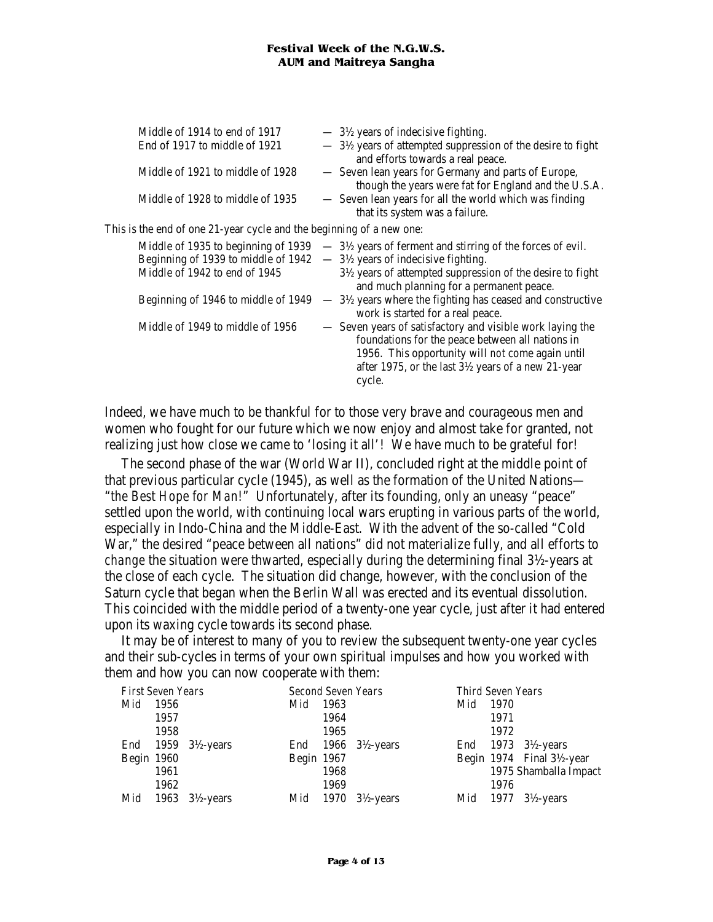| $-$ 3½ years of indecisive fighting.                                                                                                                                                                                                                                                                  |
|-------------------------------------------------------------------------------------------------------------------------------------------------------------------------------------------------------------------------------------------------------------------------------------------------------|
| $-$ 3½ years of attempted suppression of the desire to fight<br>and efforts towards a real peace.                                                                                                                                                                                                     |
| - Seven lean years for Germany and parts of Europe,<br>though the years were fat for England and the U.S.A.                                                                                                                                                                                           |
| - Seven lean years for all the world which was finding<br>that its system was a failure.                                                                                                                                                                                                              |
| This is the end of one 21-year cycle and the beginning of a new one:                                                                                                                                                                                                                                  |
| $-$ 3½ years of ferment and stirring of the forces of evil.<br>Middle of 1935 to beginning of 1939<br>Beginning of 1939 to middle of 1942<br>$-$ 3½ years of indecisive fighting.<br>$3\frac{1}{2}$ years of attempted suppression of the desire to fight<br>and much planning for a permanent peace. |
| $-$ 3½ years where the fighting has ceased and constructive<br>work is started for a real peace.                                                                                                                                                                                                      |
| - Seven years of satisfactory and visible work laying the<br>foundations for the peace between all nations in<br>1956. This opportunity will not come again until<br>after 1975, or the last $3\frac{1}{2}$ years of a new 21-year<br>cycle.                                                          |
|                                                                                                                                                                                                                                                                                                       |

Indeed, we have much to be thankful for to those very brave and courageous men and women who fought for our future which we now enjoy and almost take for granted, not realizing just how close we came to 'losing it all'! We have much to be grateful for!

The second phase of the war (World War II), concluded right at the middle point of that previous particular cycle (1945), as well as the formation of the United Nations— "*the Best Hope for Man!*" Unfortunately, after its founding, only an uneasy "peace" settled upon the world, with continuing local wars erupting in various parts of the world, especially in Indo-China and the Middle-East. With the advent of the so-called "Cold War," the desired "peace between all nations" did not materialize fully, and all efforts to *change* the situation were thwarted, especially during the determining final 3½-years at the close of each cycle. The situation did change, however, with the conclusion of the Saturn cycle that began when the Berlin Wall was erected and its eventual dissolution. This coincided with the middle period of a twenty-one year cycle, just after it had entered upon its waxing cycle towards its second phase.

It may be of interest to many of you to review the subsequent twenty-one year cycles and their sub-cycles in terms of your own spiritual impulses and how you worked with them and how you can now cooperate with them:

| <b>First Seven Years</b> |      |                            |            | Second Seven Years |                            |     | <b>Third Seven Years</b> |                            |
|--------------------------|------|----------------------------|------------|--------------------|----------------------------|-----|--------------------------|----------------------------|
| Mid                      | 1956 |                            | Mid        | 1963               |                            | Mid | 1970                     |                            |
|                          | 1957 |                            |            | 1964               |                            |     | 1971                     |                            |
|                          | 1958 |                            |            | 1965               |                            |     | 1972                     |                            |
| End                      |      | 1959 $3\frac{1}{2}$ -years | End        |                    | 1966 $3\frac{1}{2}$ -years | End |                          | 1973 $3\frac{1}{2}$ -years |
| Begin 1960               |      |                            | Begin 1967 |                    |                            |     |                          | Begin 1974 Final 3½-year   |
|                          | 1961 |                            |            | 1968               |                            |     |                          | 1975 Shamballa Impact      |
|                          | 1962 |                            |            | 1969               |                            |     | 1976                     |                            |
| Mid                      |      | 1963 $3\frac{1}{2}$ -years | Mid        | 1970               | $3\frac{1}{2}$ -years      | Mid | 1977                     | $3\frac{1}{2}$ -years      |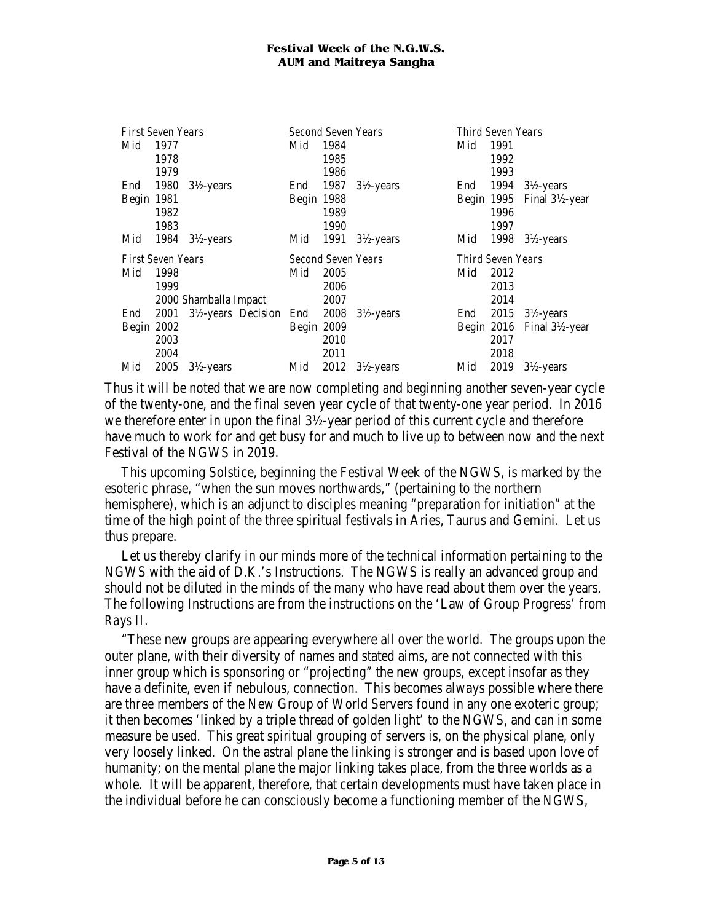|            | <b>First Seven Years</b> |                                | Second Seven Years<br><i>Third Seven Years</i> |                    |                       |       |                   |                                           |
|------------|--------------------------|--------------------------------|------------------------------------------------|--------------------|-----------------------|-------|-------------------|-------------------------------------------|
| Mid        | 1977                     |                                | Mid                                            | 1984               |                       | Mid   | 1991              |                                           |
|            | 1978                     |                                |                                                | 1985               |                       |       | 1992              |                                           |
|            | 1979                     |                                |                                                | 1986               |                       |       | 1993              |                                           |
| End        | 1980                     | $3\frac{1}{2}$ -years          | End                                            | 1987               | $3\frac{1}{2}$ -years | End   | 1994              | $3\frac{1}{2}$ -years                     |
| Begin 1981 |                          |                                | Begin 1988                                     |                    |                       | Begin | 1995              | Final $3\frac{1}{2}$ -year                |
|            | 1982                     |                                |                                                | 1989               |                       |       | 1996              |                                           |
|            | 1983                     |                                |                                                | 1990               |                       |       | 1997              |                                           |
| Mid        | 1984                     | $3\frac{1}{2}$ -years          | Mid                                            | 1991               | $3\frac{1}{2}$ -years | Mid   | 1998              | $3\frac{1}{2}$ -years                     |
|            |                          |                                |                                                |                    |                       |       |                   |                                           |
|            | First Seven Years        |                                |                                                | Second Seven Years |                       |       | Third Seven Years |                                           |
| Mid        | 1998                     |                                | Mid                                            | 2005               |                       | Mid   | 2012              |                                           |
|            | 1999                     |                                |                                                | 2006               |                       |       | 2013              |                                           |
|            |                          | 2000 Shamballa Impact          |                                                | 2007               |                       |       | 2014              |                                           |
| End        | 2001                     | $3\frac{1}{2}$ -years Decision | End                                            | 2008               | $3\frac{1}{2}$ -years | End   | 2015              | $3\frac{1}{2}$ -years                     |
| Begin 2002 |                          |                                | Begin 2009                                     |                    |                       | Begin | 2016              | Final 3 <sup>1</sup> / <sub>2</sub> -year |
|            | 2003                     |                                |                                                | 2010               |                       |       | 2017              |                                           |
|            | 2004                     |                                |                                                | 2011               |                       |       | 2018              |                                           |

Thus it will be noted that we are now completing and beginning another seven-year cycle of the twenty-one, and the final seven year cycle of that twenty-one year period. In 2016 we therefore enter in upon the final 3½-year period of this current cycle and therefore have much to work for and get busy for and much to live up to between now and the next Festival of the NGWS in 2019.

This upcoming Solstice, beginning the Festival Week of the NGWS, is marked by the esoteric phrase, "when the sun moves northwards," (pertaining to the northern hemisphere), which is an adjunct to disciples meaning "preparation for initiation" at the time of the high point of the three spiritual festivals in Aries, Taurus and Gemini. Let us thus prepare.

Let us thereby clarify in our minds more of the technical information pertaining to the NGWS with the aid of D.K.'s Instructions. The NGWS is really an advanced group and should not be diluted in the minds of the many who have read about them over the years. The following Instructions are from the instructions on the 'Law of Group Progress' from *Rays II*.

"These new groups are appearing everywhere all over the world. The groups upon the outer plane, with their diversity of names and stated aims, are not connected with this inner group which is sponsoring or "projecting" the new groups, except insofar as they have a definite, even if nebulous, connection. This becomes always possible where there are *three* members of the New Group of World Servers found in any one exoteric group; it then becomes 'linked by a triple thread of golden light' to the NGWS, and can in some measure be used. This great spiritual grouping of servers is, on the physical plane, only very loosely linked. On the astral plane the linking is stronger and is based upon love of humanity; on the mental plane the major linking takes place, from the three worlds as a whole. It will be apparent, therefore, that certain developments must have taken place in the individual before he can consciously become a functioning member of the NGWS,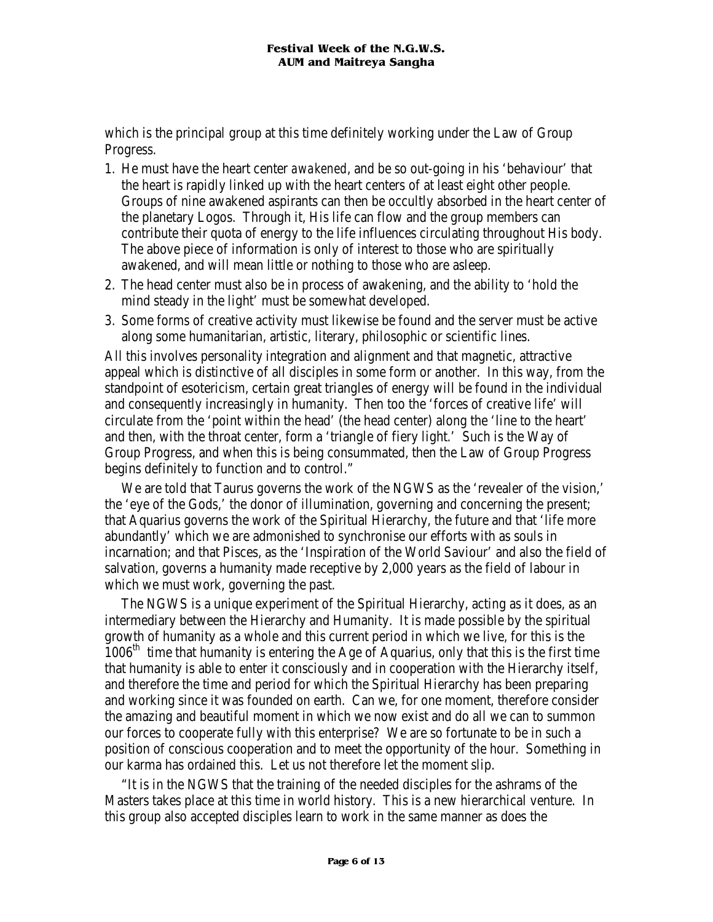which is the principal group at this time definitely working under the Law of Group Progress.

- 1. He must have the heart center *awakened*, and be so out-going in his 'behaviour' that the heart is rapidly linked up with the heart centers of at least eight other people. Groups of nine awakened aspirants can then be occultly absorbed in the heart center of the planetary Logos. Through it, His life can flow and the group members can contribute their quota of energy to the life influences circulating throughout His body. The above piece of information is only of interest to those who are spiritually awakened, and will mean little or nothing to those who are asleep.
- 2. The head center must also be in process of awakening, and the ability to 'hold the mind steady in the light' must be somewhat developed.
- 3. Some forms of creative activity must likewise be found and the server must be active along some humanitarian, artistic, literary, philosophic or scientific lines.

All this involves personality integration and alignment and that magnetic, attractive appeal which is distinctive of all disciples in some form or another. In this way, from the standpoint of esotericism, certain great triangles of energy will be found in the individual and consequently increasingly in humanity. Then too the 'forces of creative life' will circulate from the 'point within the head' (the head center) along the 'line to the heart' and then, with the throat center, form a 'triangle of fiery light.' Such is the Way of Group Progress, and when this is being consummated, then the Law of Group Progress begins definitely to function and to control."

We are told that Taurus governs the work of the NGWS as the 'revealer of the vision,' the 'eye of the Gods,' the donor of illumination, governing and concerning the present; that Aquarius governs the work of the Spiritual Hierarchy, the future and that 'life more abundantly' which we are admonished to synchronise our efforts with as souls in incarnation; and that Pisces, as the 'Inspiration of the World Saviour' and also the field of salvation, governs a humanity made receptive by 2,000 years as the field of labour in which we must work, governing the past.

The NGWS is a unique experiment of the Spiritual Hierarchy, acting as it does, as an intermediary between the Hierarchy and Humanity. It is made possible by the spiritual growth of humanity as a whole and this current period in which we live, for this is the  $1006<sup>th</sup>$  time that humanity is entering the Age of Aquarius, only that this is the first time that humanity is able to enter it consciously and in cooperation with the Hierarchy itself, and therefore the time and period for which the Spiritual Hierarchy has been preparing and working since it was founded on earth. Can we, for one moment, therefore consider the amazing and beautiful moment in which we now exist and do all we can to summon our forces to cooperate fully with this enterprise? We are so fortunate to be in such a position of conscious cooperation and to meet the opportunity of the hour. Something in our karma has ordained this. Let us not therefore let the moment slip.

"It is in the NGWS that the training of the needed disciples for the ashrams of the Masters takes place at this time in world history. This is a new hierarchical venture. In this group also accepted disciples learn to work in the same manner as does the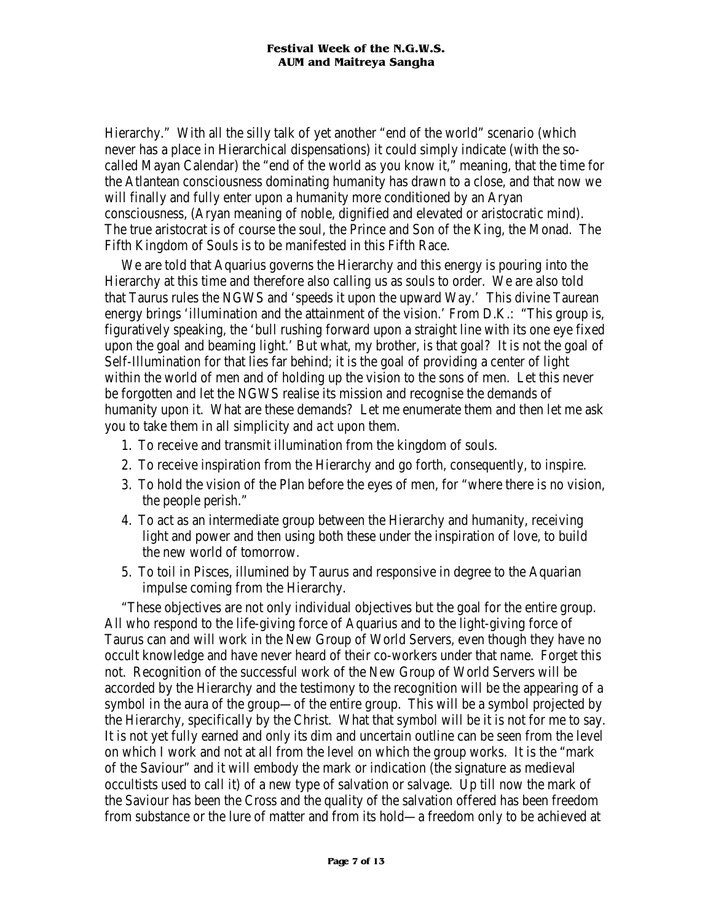Hierarchy." With all the silly talk of yet another "end of the world" scenario (which never has a place in Hierarchical dispensations) it could simply indicate (with the socalled Mayan Calendar) the "end of the world as you know it," meaning, that the time for the Atlantean consciousness dominating humanity has drawn to a close, and that now we will finally and fully enter upon a humanity more conditioned by an Aryan consciousness, (Aryan meaning of noble, dignified and elevated or aristocratic mind). The true aristocrat is of course the soul, the Prince and Son of the King, the Monad. The Fifth Kingdom of Souls is to be manifested in this Fifth Race.

We are told that Aquarius governs the Hierarchy and this energy is pouring into the Hierarchy at this time and therefore also calling us as souls to order. We are also told that Taurus rules the NGWS and 'speeds it upon the upward Way.' This divine Taurean energy brings 'illumination and the attainment of the vision.' From D.K.: "This group is, figuratively speaking, the 'bull rushing forward upon a straight line with its one eye fixed upon the goal and beaming light.' But what, my brother, is that goal? It is not the goal of Self-Illumination for that lies far behind; it is the goal of providing a center of light within the world of men and of holding up the vision to the sons of men. Let this never be forgotten and let the NGWS realise its mission and recognise the demands of humanity upon it. What are these demands? Let me enumerate them and then let me ask you to take them in all simplicity and *act* upon them.

- 1. To receive and transmit illumination from the kingdom of souls.
- 2. To receive inspiration from the Hierarchy and go forth, consequently, to inspire.
- 3. To hold the vision of the Plan before the eyes of men, for "where there is no vision, the people perish."
- 4. To act as an intermediate group between the Hierarchy and humanity, receiving light and power and then using both these under the inspiration of love, to build the new world of tomorrow.
- 5. To toil in Pisces, illumined by Taurus and responsive in degree to the Aquarian impulse coming from the Hierarchy.

"These objectives are not only individual objectives but the goal for the entire group. All who respond to the life-giving force of Aquarius and to the light-giving force of Taurus can and will work in the New Group of World Servers, even though they have no occult knowledge and have never heard of their co-workers under that name. Forget this not. Recognition of the successful work of the New Group of World Servers will be accorded by the Hierarchy and the testimony to the recognition will be the appearing of a symbol in the aura of the group—of the entire group. This will be a symbol projected by the Hierarchy, specifically by the Christ. What that symbol will be it is not for me to say. It is not yet fully earned and only its dim and uncertain outline can be seen from the level on which I work and not at all from the level on which the group works. It is the "mark of the Saviour" and it will embody the mark or indication (the signature as medieval occultists used to call it) of a new type of salvation or salvage. Up till now the mark of the Saviour has been the Cross and the quality of the salvation offered has been freedom from substance or the lure of matter and from its hold—a freedom only to be achieved at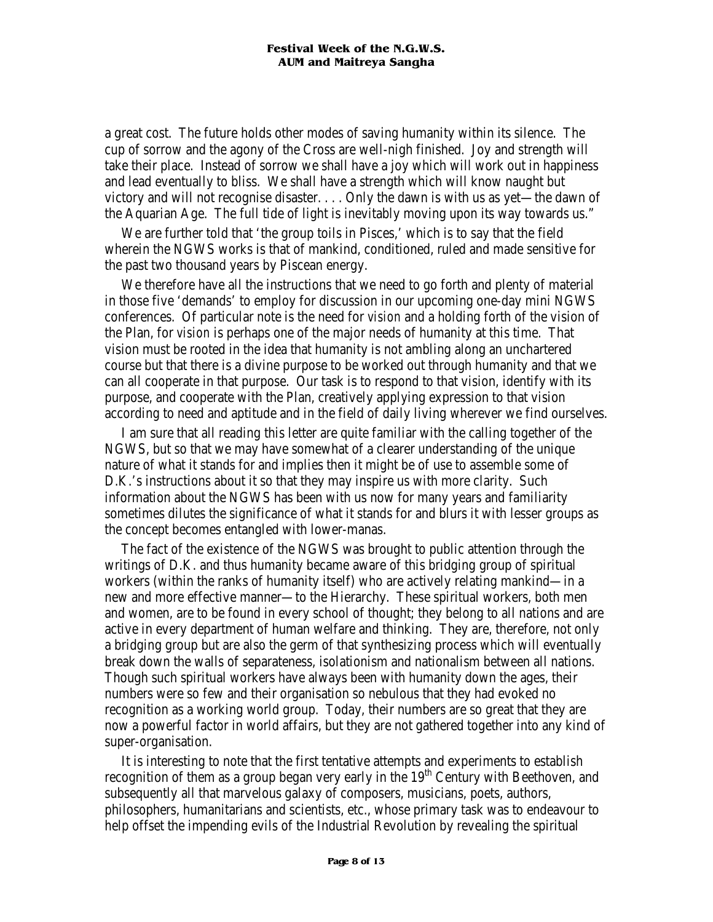a great cost. The future holds other modes of saving humanity within its silence. The cup of sorrow and the agony of the Cross are well-nigh finished. Joy and strength will take their place. Instead of sorrow we shall have a joy which will work out in happiness and lead eventually to bliss. We shall have a strength which will know naught but victory and will not recognise disaster. . . . Only the dawn is with us as yet—the dawn of the Aquarian Age. The full tide of light is inevitably moving upon its way towards us."

We are further told that 'the group toils in Pisces,' which is to say that the field wherein the NGWS works is that of mankind, conditioned, ruled and made sensitive for the past two thousand years by Piscean energy.

We therefore have all the instructions that we need to go forth and plenty of material in those five 'demands' to employ for discussion in our upcoming one-day mini NGWS conferences. Of particular note is the need for *vision* and a holding forth of the vision of the Plan, for *vision* is perhaps one of the major needs of humanity at this time. That vision must be rooted in the idea that humanity is not ambling along an unchartered course but that there is a divine purpose to be worked out through humanity and that we can all cooperate in that purpose. Our task is to respond to that vision, identify with its purpose, and cooperate with the Plan, creatively applying expression to that vision according to need and aptitude and in the field of daily living wherever we find ourselves.

I am sure that all reading this letter are quite familiar with the calling together of the NGWS, but so that we may have somewhat of a clearer understanding of the unique nature of what it stands for and implies then it might be of use to assemble some of D.K.'s instructions about it so that they may inspire us with more clarity. Such information about the NGWS has been with us now for many years and familiarity sometimes dilutes the significance of what it stands for and blurs it with lesser groups as the concept becomes entangled with lower-manas.

The fact of the existence of the NGWS was brought to public attention through the writings of D.K. and thus humanity became aware of this bridging group of spiritual workers (within the ranks of humanity itself) who are actively relating mankind—in a new and more effective manner—to the Hierarchy. These spiritual workers, both men and women, are to be found in every school of thought; they belong to all nations and are active in every department of human welfare and thinking. They are, therefore, not only a bridging group but are also the germ of that synthesizing process which will eventually break down the walls of separateness, isolationism and nationalism between all nations. Though such spiritual workers have always been with humanity down the ages, their numbers were so few and their organisation so nebulous that they had evoked no recognition as a working world group. Today, their numbers are so great that they are now a powerful factor in world affairs, but they are not gathered together into any kind of super-organisation.

It is interesting to note that the first tentative attempts and experiments to establish recognition of them as a group began very early in the  $19<sup>th</sup>$  Century with Beethoven, and subsequently all that marvelous galaxy of composers, musicians, poets, authors, philosophers, humanitarians and scientists, etc., whose primary task was to endeavour to help offset the impending evils of the Industrial Revolution by revealing the spiritual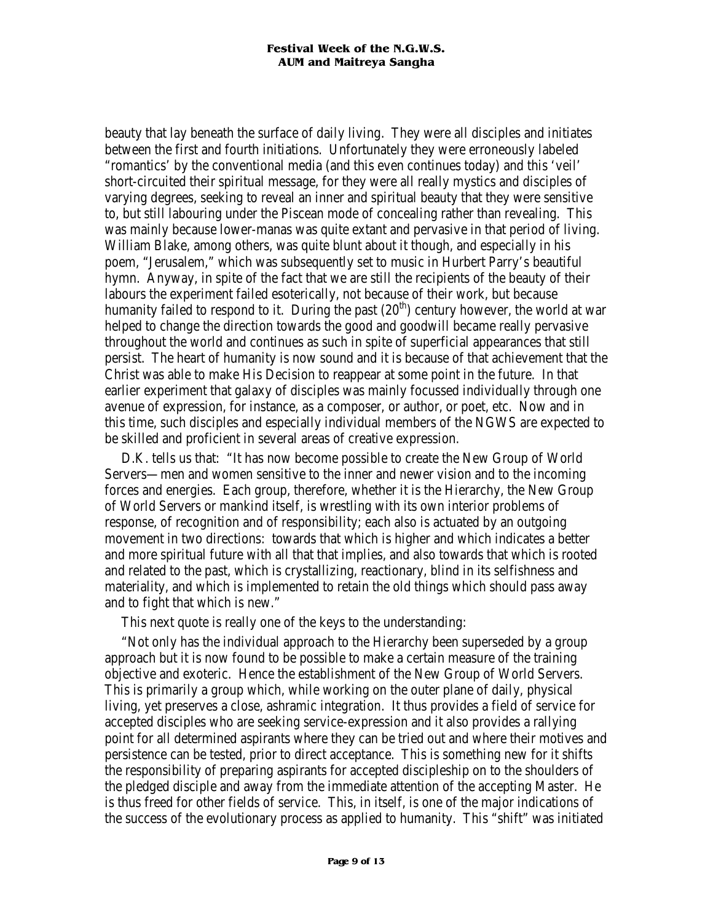beauty that lay beneath the surface of daily living. They were all disciples and initiates between the first and fourth initiations. Unfortunately they were erroneously labeled "romantics' by the conventional media (and this even continues today) and this 'veil' short-circuited their spiritual message, for they were all really mystics and disciples of varying degrees, seeking to reveal an inner and spiritual beauty that they were sensitive to, but still labouring under the Piscean mode of concealing rather than revealing. This was mainly because lower-manas was quite extant and pervasive in that period of living. William Blake, among others, was quite blunt about it though, and especially in his poem, "Jerusalem," which was subsequently set to music in Hurbert Parry's beautiful hymn. Anyway, in spite of the fact that we are still the recipients of the beauty of their labours the experiment failed esoterically, not because of their work, but because humanity failed to respond to it. During the past  $(20<sup>th</sup>)$  century however, the world at war helped to change the direction towards the good and goodwill became really pervasive throughout the world and continues as such in spite of superficial appearances that still persist. The heart of humanity is now sound and it is because of that achievement that the Christ was able to make His Decision to reappear at some point in the future. In that earlier experiment that galaxy of disciples was mainly focussed individually through one avenue of expression, for instance, as a composer, or author, or poet, etc. Now and in this time, such disciples and especially individual members of the NGWS are expected to be skilled and proficient in several areas of creative expression.

D.K. tells us that: "It has now become possible to create the New Group of World Servers—men and women sensitive to the inner and newer vision and to the incoming forces and energies. Each group, therefore, whether it is the Hierarchy, the New Group of World Servers or mankind itself, is wrestling with its own interior problems of response, of recognition and of responsibility; each also is actuated by an outgoing movement in two directions: towards that which is higher and which indicates a better and more spiritual future with all that that implies, and also towards that which is rooted and related to the past, which is crystallizing, reactionary, blind in its selfishness and materiality, and which is implemented to retain the old things which should pass away and to fight that which is new."

This next quote is really one of the keys to the understanding:

"Not only has the individual approach to the Hierarchy been superseded by a group approach but it is now found to be possible to make a certain measure of the training objective and exoteric. Hence the establishment of the New Group of World Servers. This is primarily a group which, while working on the outer plane of daily, physical living, yet preserves a close, ashramic integration. It thus provides a field of service for accepted disciples who are seeking service-expression and it also provides a rallying point for all determined aspirants where they can be tried out and where their motives and persistence can be tested, prior to direct acceptance. This is something new for it shifts the responsibility of preparing aspirants for accepted discipleship on to the shoulders of the pledged disciple and away from the immediate attention of the accepting Master. He is thus freed for other fields of service. This, in itself, is one of the major indications of the success of the evolutionary process as applied to humanity. This "shift" was initiated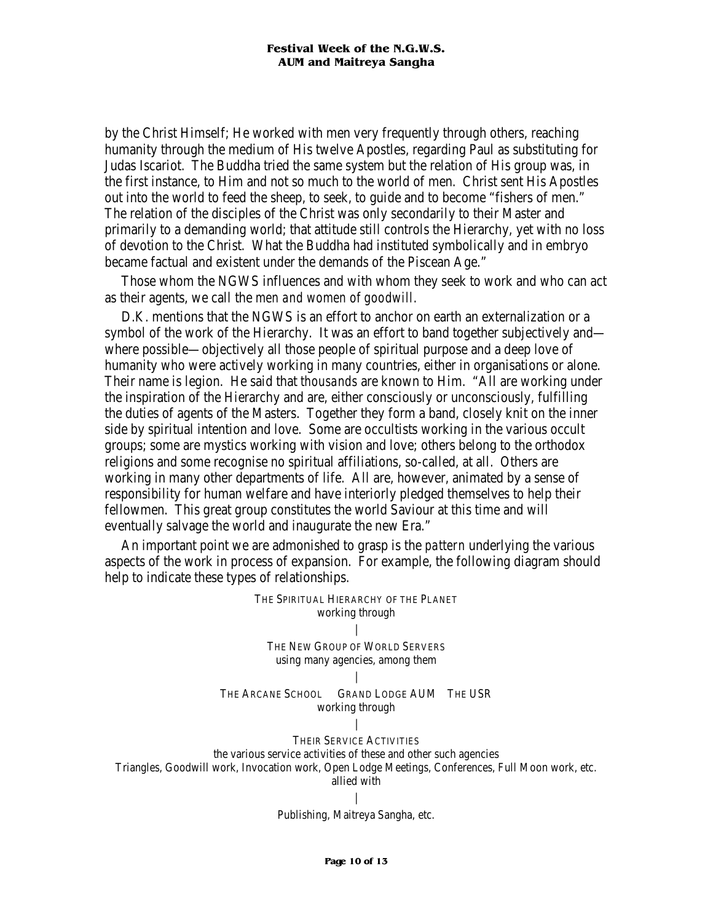by the Christ Himself; He worked with men very frequently through others, reaching humanity through the medium of His twelve Apostles, regarding Paul as substituting for Judas Iscariot. The Buddha tried the same system but the relation of His group was, in the first instance, to Him and not so much to the world of men. Christ sent His Apostles out into the world to feed the sheep, to seek, to guide and to become "fishers of men." The relation of the disciples of the Christ was only secondarily to their Master and primarily to a demanding world; that attitude still controls the Hierarchy, yet with no loss of devotion to the Christ. What the Buddha had instituted symbolically and in embryo became factual and existent under the demands of the Piscean Age."

Those whom the NGWS influences and with whom they seek to work and who can act as their agents, we call the *men and women of goodwill*.

D.K. mentions that the NGWS is an effort to anchor on earth an externalization or a symbol of the work of the Hierarchy. It was an effort to band together subjectively and where possible—objectively all those people of spiritual purpose and a deep love of humanity who were actively working in many countries, either in organisations or alone. Their name is legion. He said that *thousands* are known to Him. "All are working under the inspiration of the Hierarchy and are, either consciously or unconsciously, fulfilling the duties of agents of the Masters. Together they form a band, closely knit on the inner side by spiritual intention and love. Some are occultists working in the various occult groups; some are mystics working with vision and love; others belong to the orthodox religions and some recognise no spiritual affiliations, so-called, at all. Others are working in many other departments of life. All are, however, animated by a sense of responsibility for human welfare and have interiorly pledged themselves to help their fellowmen. This great group constitutes the world Saviour at this time and will eventually salvage the world and inaugurate the new Era."

An important point we are admonished to grasp is the *pattern* underlying the various aspects of the work in process of expansion. For example, the following diagram should help to indicate these types of relationships.



Publishing, Maitreya Sangha, etc.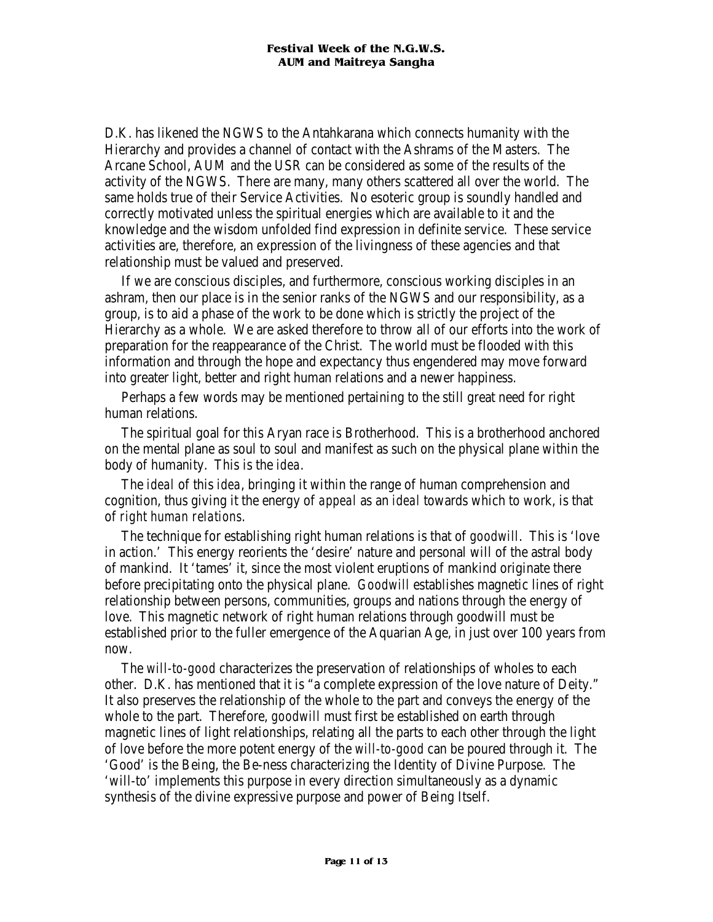D.K. has likened the NGWS to the Antahkarana which connects humanity with the Hierarchy and provides a channel of contact with the Ashrams of the Masters. The Arcane School, AUM and the USR can be considered as some of the results of the activity of the NGWS. There are many, many others scattered all over the world. The same holds true of their Service Activities. No esoteric group is soundly handled and correctly motivated unless the spiritual energies which are available to it and the knowledge and the wisdom unfolded find expression in definite service. These service activities are, therefore, an expression of the livingness of these agencies and that relationship must be valued and preserved.

If we are conscious disciples, and furthermore, conscious working disciples in an ashram, then our place is in the senior ranks of the NGWS and our responsibility, as a group, is to aid a phase of the work to be done which is strictly the project of the Hierarchy as a whole. We are asked therefore to throw all of our efforts into the work of preparation for the reappearance of the Christ. The world must be flooded with this information and through the hope and expectancy thus engendered may move forward into greater light, better and right human relations and a newer happiness.

Perhaps a few words may be mentioned pertaining to the still great need for right human relations.

The spiritual goal for this Aryan race is Brotherhood. This is a brotherhood anchored on the mental plane as soul to soul and manifest as such on the physical plane within the body of humanity. This is the *idea*.

The *ideal* of this *idea*, bringing it within the range of human comprehension and cognition, thus giving it the energy of *appeal* as an *ideal* towards which to work, is that of *right human relations*.

The technique for establishing right human relations is that of *goodwill*. This is 'love in action.' This energy reorients the 'desire' nature and personal will of the astral body of mankind. It 'tames' it, since the most violent eruptions of mankind originate there before precipitating onto the physical plane. *Goodwill* establishes magnetic lines of right relationship between persons, communities, groups and nations through the energy of love. This magnetic network of right human relations through goodwill must be established prior to the fuller emergence of the Aquarian Age, in just over 100 years from now.

The *will-to-good* characterizes the preservation of relationships of wholes to each other. D.K. has mentioned that it is "a complete expression of the love nature of Deity." It also preserves the relationship of the whole to the part and conveys the energy of the whole to the part. Therefore, *goodwill* must first be established on earth through magnetic lines of light relationships, relating all the parts to each other through the light of love before the more potent energy of the *will-to-good* can be poured through it. The 'Good' is the Being, the Be-ness characterizing the Identity of Divine Purpose. The 'will-to' implements this purpose in every direction simultaneously as a dynamic synthesis of the divine expressive purpose and power of Being Itself.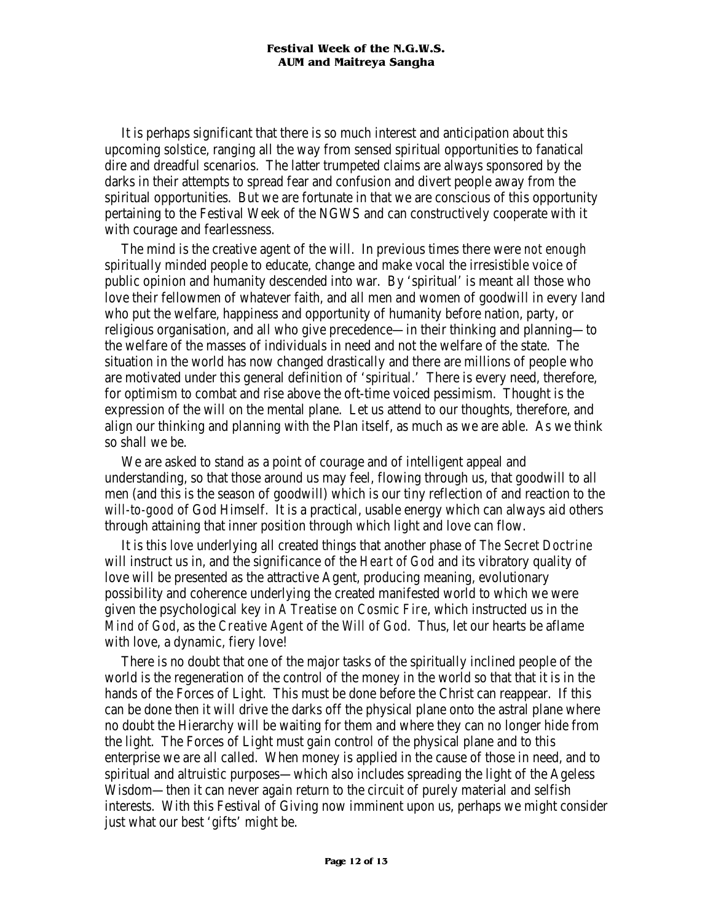It is perhaps significant that there is so much interest and anticipation about this upcoming solstice, ranging all the way from sensed spiritual opportunities to fanatical dire and dreadful scenarios. The latter trumpeted claims are always sponsored by the darks in their attempts to spread fear and confusion and divert people away from the spiritual opportunities. But we are fortunate in that we are conscious of this opportunity pertaining to the Festival Week of the NGWS and can constructively cooperate with it with courage and fearlessness.

The mind is the creative agent of the will. In previous times there were *not enough* spiritually minded people to educate, change and make vocal the irresistible voice of public opinion and humanity descended into war. By 'spiritual' is meant all those who love their fellowmen of whatever faith, and all men and women of goodwill in every land who put the welfare, happiness and opportunity of humanity before nation, party, or religious organisation, and all who give precedence—in their thinking and planning—to the welfare of the masses of individuals in need and not the welfare of the state. The situation in the world has now changed drastically and there are millions of people who are motivated under this general definition of 'spiritual.' There is every need, therefore, for optimism to combat and rise above the oft-time voiced pessimism. Thought is the expression of the will on the mental plane. Let us attend to our thoughts, therefore, and align our thinking and planning with the Plan itself, as much as we are able. As we think so shall we be.

We are asked to stand as a point of courage and of intelligent appeal and understanding, so that those around us may feel, flowing through us, that goodwill to all men (and this is the season of goodwill) which is our tiny reflection of and reaction to the *will-to-good* of God Himself. It is a practical, usable energy which can always aid others through attaining that inner position through which light and love can flow.

It is this *love* underlying all created things that another phase of *The Secret Doctrine* will instruct us in, and the significance of the *Heart of God* and its vibratory quality of love will be presented as the attractive Agent, producing meaning, evolutionary possibility and coherence underlying the created manifested world to which we were given the psychological key in *A Treatise on Cosmic Fire*, which instructed us in the *Mind of God*, as the *Creative Agent* of the *Will of God.* Thus, let our hearts be aflame with love, a dynamic, fiery love!

There is no doubt that one of the major tasks of the spiritually inclined people of the world is the regeneration of the control of the money in the world so that that it is in the hands of the Forces of Light. This must be done before the Christ can reappear. If this can be done then it will drive the darks off the physical plane onto the astral plane where no doubt the Hierarchy will be waiting for them and where they can no longer hide from the light. The Forces of Light must gain control of the physical plane and to this enterprise we are all called. When money is applied in the cause of those in need, and to spiritual and altruistic purposes—which also includes spreading the light of the Ageless Wisdom—then it can never again return to the circuit of purely material and selfish interests. With this Festival of Giving now imminent upon us, perhaps we might consider just what our best 'gifts' might be.